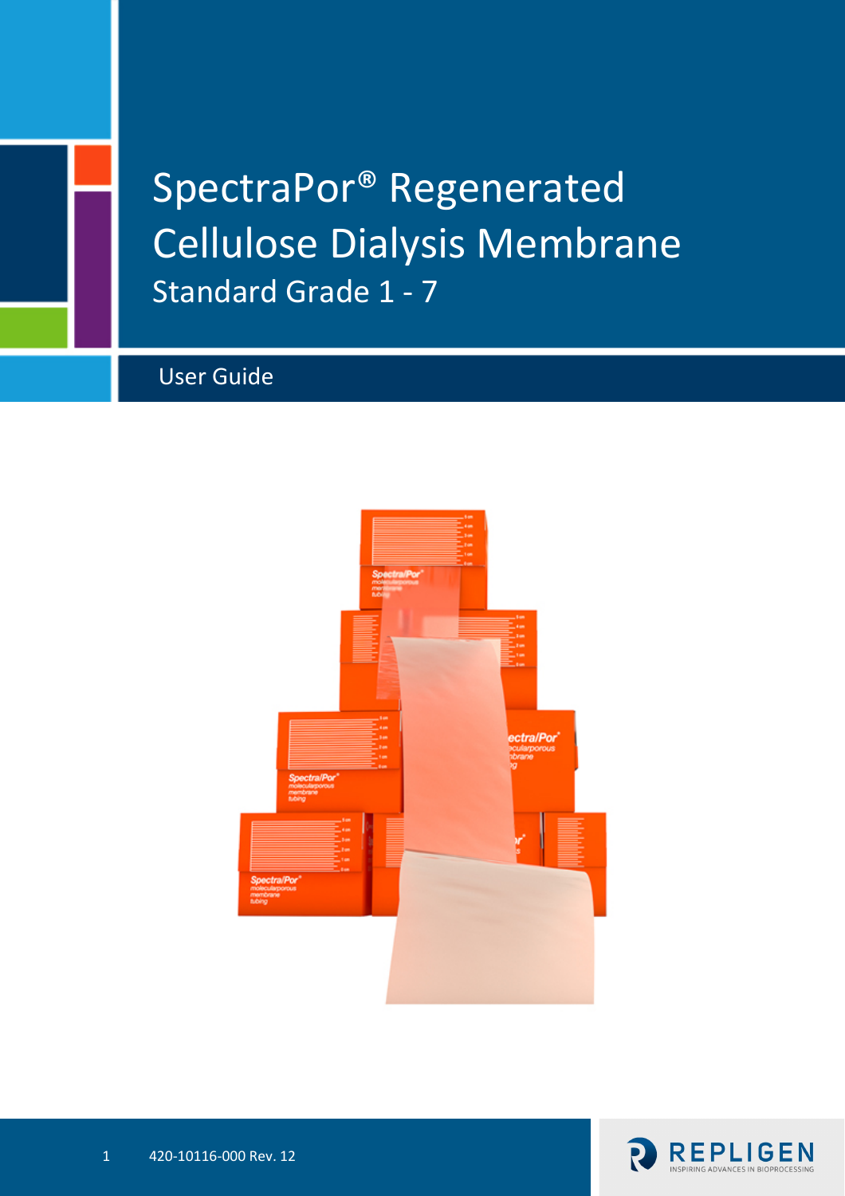# SpectraPor® Regenerated Cellulose Dialysis Membrane Standard Grade 1 - 7

# User Guide



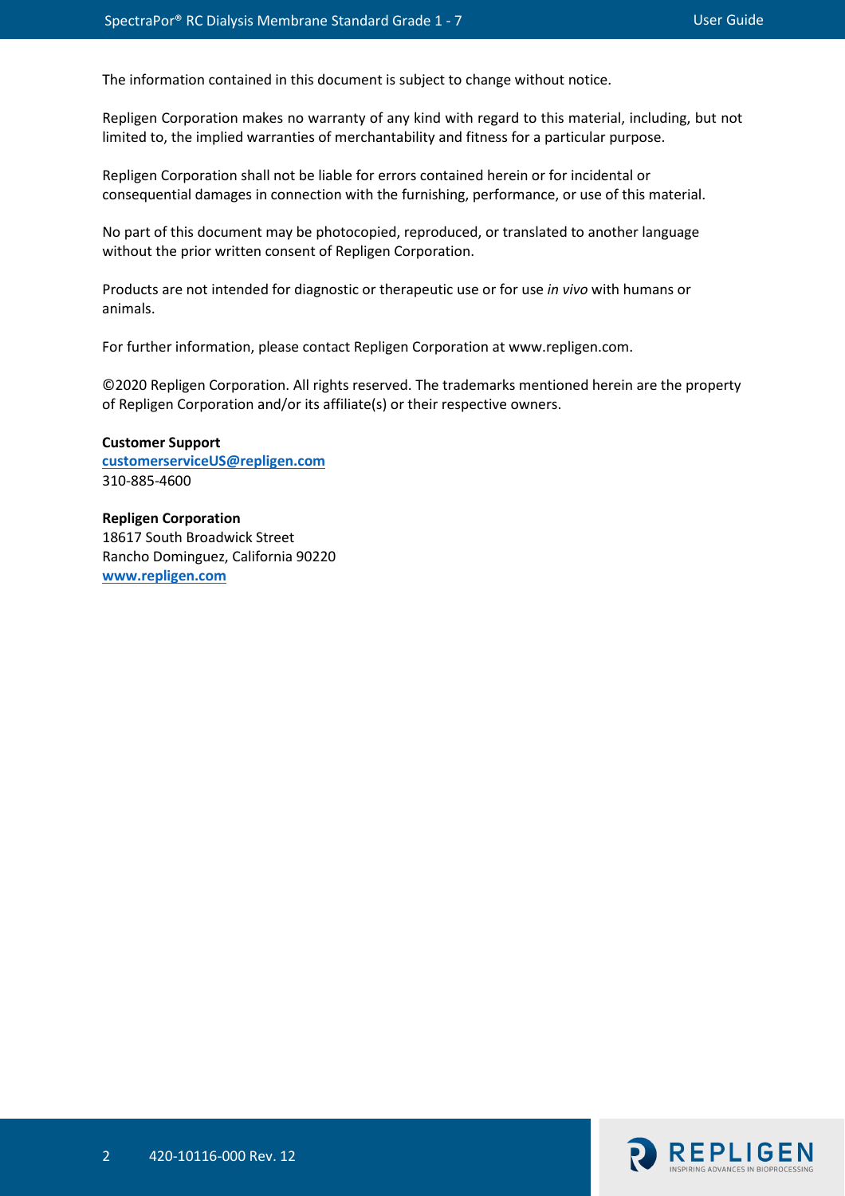The information contained in this document is subject to change without notice.

Repligen Corporation makes no warranty of any kind with regard to this material, including, but not limited to, the implied warranties of merchantability and fitness for a particular purpose.

Repligen Corporation shall not be liable for errors contained herein or for incidental or consequential damages in connection with the furnishing, performance, or use of this material.

No part of this document may be photocopied, reproduced, or translated to another language without the prior written consent of Repligen Corporation.

Products are not intended for diagnostic or therapeutic use or for use *in vivo* with humans or animals.

For further information, please contact Repligen Corporation at www.repligen.com.

©2020 Repligen Corporation. All rights reserved. The trademarks mentioned herein are the property of Repligen Corporation and/or its affiliate(s) or their respective owners.

**Customer Support [customerserviceUS@repligen.com](mailto:customerserviceUS@repligen.com)** 310-885-4600

**Repligen Corporation** 18617 South Broadwick Street Rancho Dominguez, California 90220 **www.repligen.com**

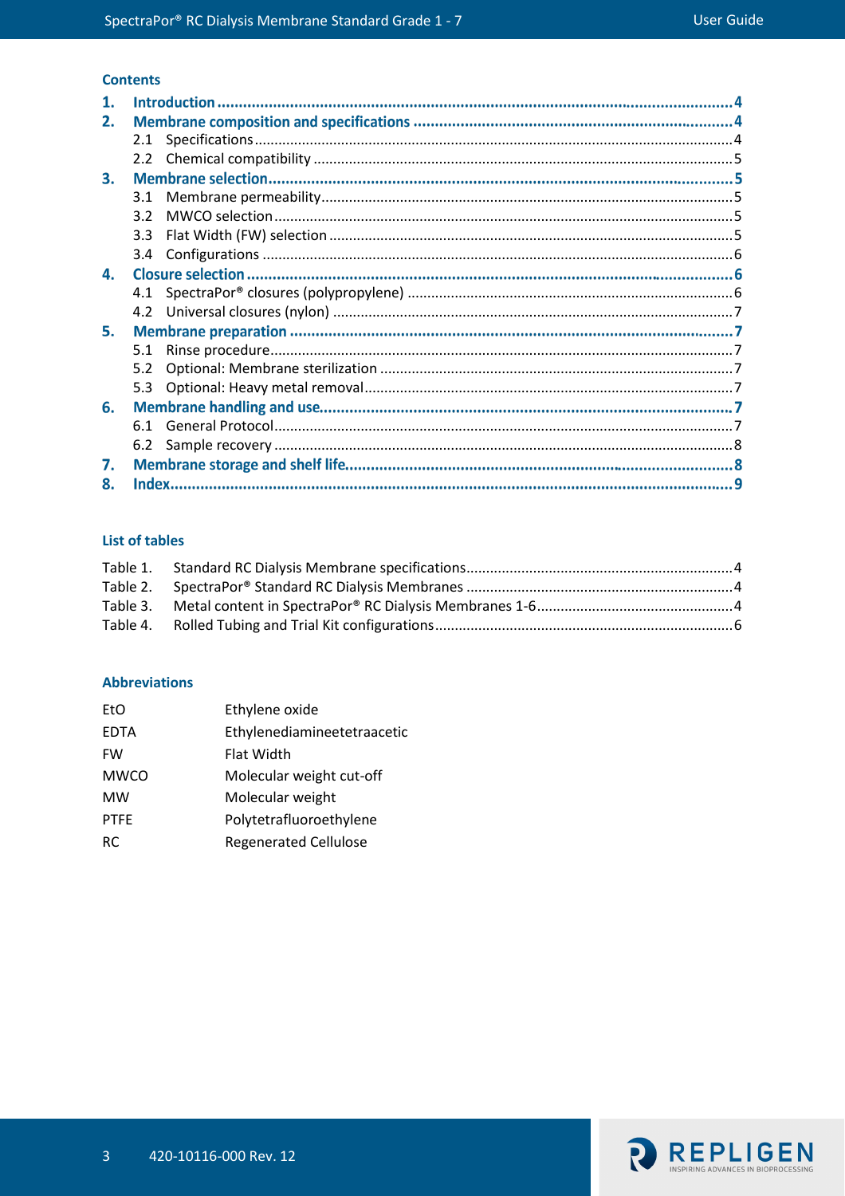# **Contents**

| $\mathbf 1$ . |               |  |  |  |
|---------------|---------------|--|--|--|
| 2.            |               |  |  |  |
|               | 2.1           |  |  |  |
|               | $2.2^{\circ}$ |  |  |  |
| 3.            |               |  |  |  |
|               | 3.1           |  |  |  |
|               | 32            |  |  |  |
|               | 3.3           |  |  |  |
|               | $3.4^{\circ}$ |  |  |  |
| 4.            |               |  |  |  |
|               |               |  |  |  |
|               | 4.2           |  |  |  |
| 5.            |               |  |  |  |
|               | 5.1           |  |  |  |
|               | 5.2           |  |  |  |
|               | 5.3           |  |  |  |
| 6.            |               |  |  |  |
|               | 6.1           |  |  |  |
|               | 6.2           |  |  |  |
| 7.            |               |  |  |  |
| 8.            |               |  |  |  |

# **List of tables**

#### **Abbreviations**

| EtO         | Ethylene oxide               |
|-------------|------------------------------|
| <b>EDTA</b> | Ethylenediamineetetraacetic  |
| <b>FW</b>   | Flat Width                   |
| <b>MWCO</b> | Molecular weight cut-off     |
| <b>MW</b>   | Molecular weight             |
| <b>PTFE</b> | Polytetrafluoroethylene      |
| RC          | <b>Regenerated Cellulose</b> |

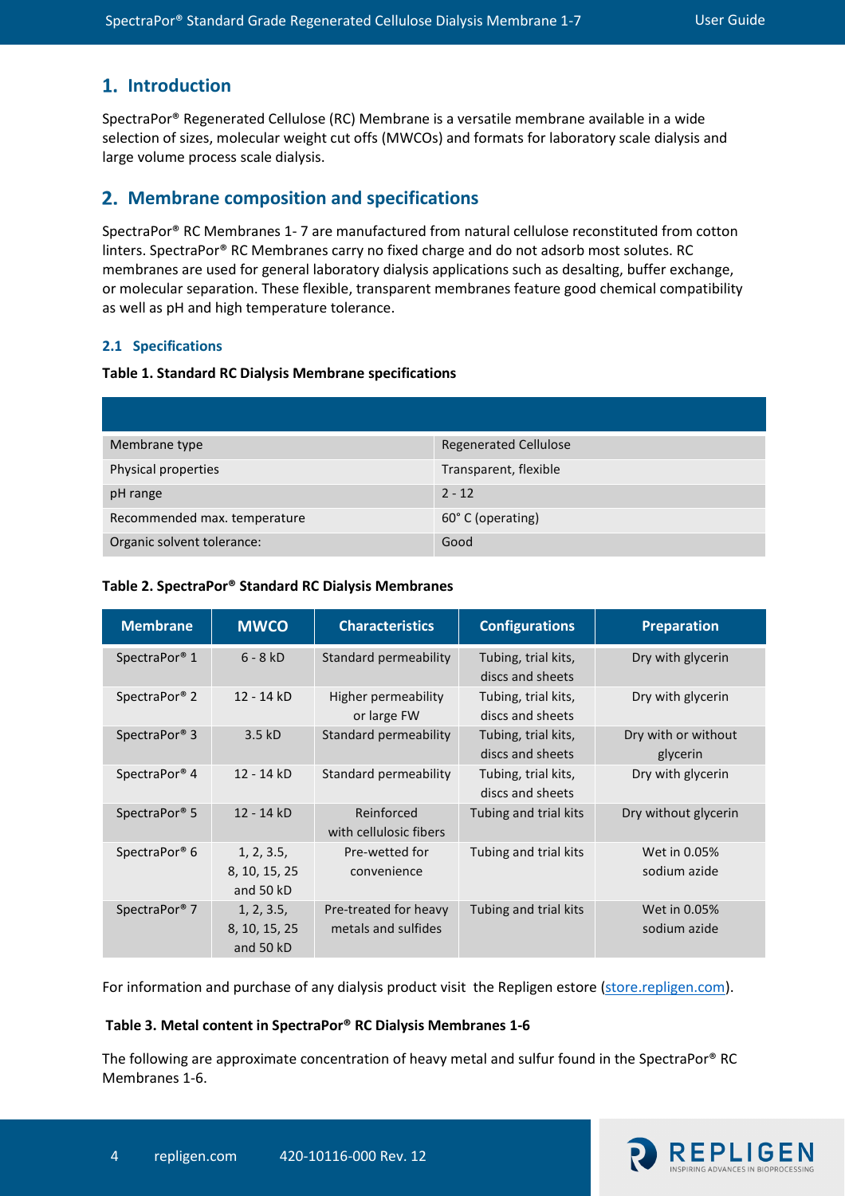# 1. Introduction

SpectraPor® Regenerated Cellulose (RC) Membrane is a versatile membrane available in a wide selection of sizes, molecular weight cut offs (MWCOs) and formats for laboratory scale dialysis and large volume process scale dialysis.

# **Membrane composition and specifications**

SpectraPor® RC Membranes 1- 7 are manufactured from natural cellulose reconstituted from cotton linters. SpectraPor® RC Membranes carry no fixed charge and do not adsorb most solutes. RC membranes are used for general laboratory dialysis applications such as desalting, buffer exchange, or molecular separation. These flexible, transparent membranes feature good chemical compatibility as well as pH and high temperature tolerance.

#### <span id="page-3-0"></span>**2.1 Specifications**

#### <span id="page-3-1"></span>**Table 1. Standard RC Dialysis Membrane specifications**

| Membrane type                | <b>Regenerated Cellulose</b> |
|------------------------------|------------------------------|
| Physical properties          | Transparent, flexible        |
| pH range                     | $2 - 12$                     |
| Recommended max. temperature | 60° C (operating)            |
| Organic solvent tolerance:   | Good                         |

<span id="page-3-2"></span>

| <b>Membrane</b>           | <b>MWCO</b>                              | <b>Characteristics</b>                       | <b>Configurations</b>                   | <b>Preparation</b>              |
|---------------------------|------------------------------------------|----------------------------------------------|-----------------------------------------|---------------------------------|
| SpectraPor <sup>®</sup> 1 | $6 - 8$ kD                               | Standard permeability                        | Tubing, trial kits,<br>discs and sheets | Dry with glycerin               |
| SpectraPor <sup>®</sup> 2 | 12 - 14 kD                               | Higher permeability<br>or large FW           | Tubing, trial kits,<br>discs and sheets | Dry with glycerin               |
| SpectraPor <sup>®</sup> 3 | 3.5kD                                    | Standard permeability                        | Tubing, trial kits,<br>discs and sheets | Dry with or without<br>glycerin |
| SpectraPor <sup>®</sup> 4 | 12 - 14 kD                               | Standard permeability                        | Tubing, trial kits,<br>discs and sheets | Dry with glycerin               |
| SpectraPor <sup>®</sup> 5 | 12 - 14 kD                               | Reinforced<br>with cellulosic fibers         | Tubing and trial kits                   | Dry without glycerin            |
| SpectraPor <sup>®</sup> 6 | 1, 2, 3.5,<br>8, 10, 15, 25<br>and 50 kD | Pre-wetted for<br>convenience                | Tubing and trial kits                   | Wet in 0.05%<br>sodium azide    |
| SpectraPor <sup>®</sup> 7 | 1, 2, 3.5,<br>8, 10, 15, 25<br>and 50 kD | Pre-treated for heavy<br>metals and sulfides | Tubing and trial kits                   | Wet in 0.05%<br>sodium azide    |

For information and purchase of any dialysis product visit the Repligen estore [\(store.repligen.com\)](https://repligen.sharepoint.com/sites/MarketingSharepoint/Documents/!_MARKETING%20SANDBOX%20-%20Work%20in%20progress/Dialysis/Dialysis%20Membranes/store.repligen.com).

#### <span id="page-3-3"></span>**Table 3. Metal content in SpectraPor® RC Dialysis Membranes 1-6**

The following are approximate concentration of heavy metal and sulfur found in the SpectraPor® RC Membranes 1-6.

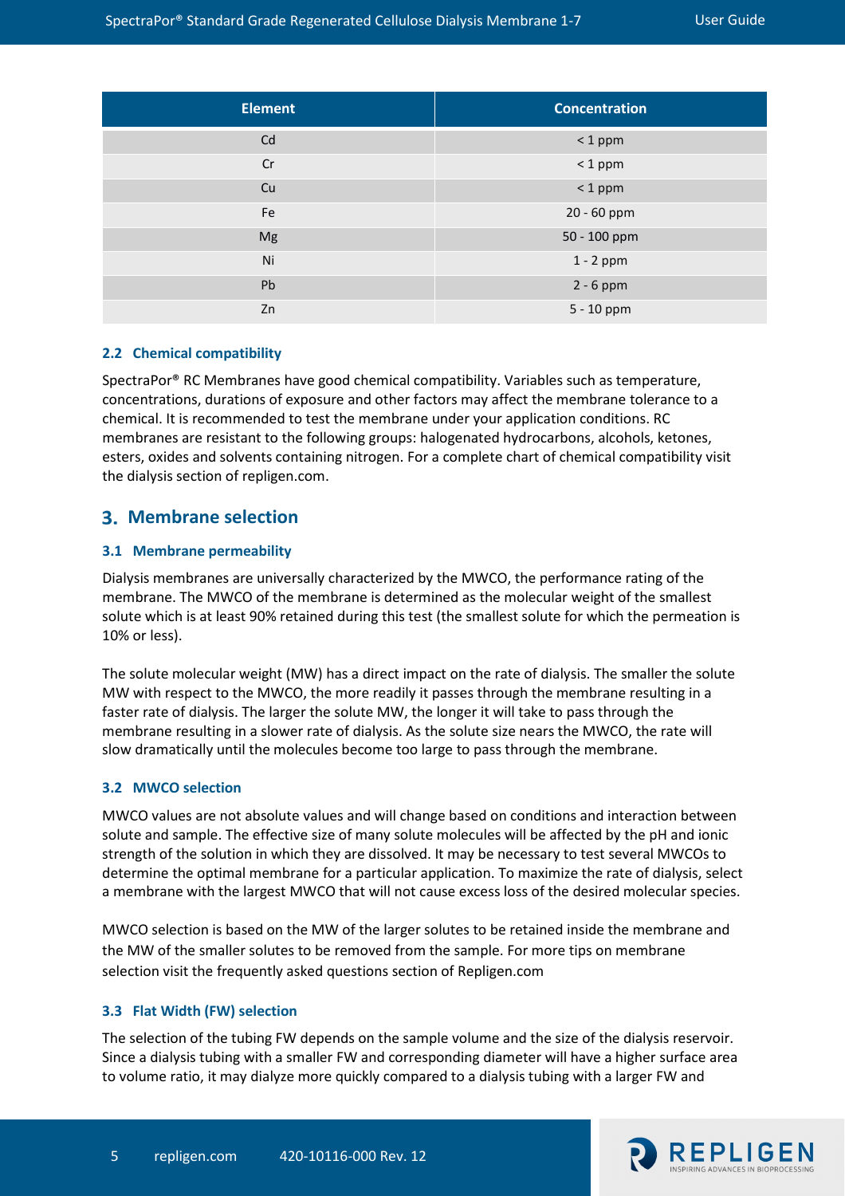| <b>Element</b> | <b>Concentration</b> |
|----------------|----------------------|
| Cd             | $< 1$ ppm            |
| Cr             | $< 1$ ppm            |
| Cu             | $< 1$ ppm            |
| Fe             | 20 - 60 ppm          |
| Mg             | 50 - 100 ppm         |
| Ni             | $1 - 2$ ppm          |
| Pb             | $2 - 6$ ppm          |
| Zn             | 5 - 10 ppm           |

#### <span id="page-4-0"></span>**2.2 Chemical compatibility**

SpectraPor® RC Membranes have good chemical compatibility. Variables such as temperature, concentrations, durations of exposure and other factors may affect the membrane tolerance to a chemical. It is recommended to test the membrane under your application conditions. RC membranes are resistant to the following groups: halogenated hydrocarbons, alcohols, ketones, esters, oxides and solvents containing nitrogen. For a complete chart of chemical compatibility visit the dialysis section of repligen.com.

# **Membrane selection**

#### <span id="page-4-1"></span>**3.1 Membrane permeability**

Dialysis membranes are universally characterized by the MWCO, the performance rating of the membrane. The MWCO of the membrane is determined as the molecular weight of the smallest solute which is at least 90% retained during this test (the smallest solute for which the permeation is 10% or less).

The solute molecular weight (MW) has a direct impact on the rate of dialysis. The smaller the solute MW with respect to the MWCO, the more readily it passes through the membrane resulting in a faster rate of dialysis. The larger the solute MW, the longer it will take to pass through the membrane resulting in a slower rate of dialysis. As the solute size nears the MWCO, the rate will slow dramatically until the molecules become too large to pass through the membrane.

#### <span id="page-4-2"></span>**3.2 MWCO selection**

MWCO values are not absolute values and will change based on conditions and interaction between solute and sample. The effective size of many solute molecules will be affected by the pH and ionic strength of the solution in which they are dissolved. It may be necessary to test several MWCOs to determine the optimal membrane for a particular application. To maximize the rate of dialysis, select a membrane with the largest MWCO that will not cause excess loss of the desired molecular species.

MWCO selection is based on the MW of the larger solutes to be retained inside the membrane and the MW of the smaller solutes to be removed from the sample. For more tips on membrane selection visit the frequently asked questions section of Repligen.com

#### <span id="page-4-3"></span>**3.3 Flat Width (FW) selection**

The selection of the tubing FW depends on the sample volume and the size of the dialysis reservoir. Since a dialysis tubing with a smaller FW and corresponding diameter will have a higher surface area to volume ratio, it may dialyze more quickly compared to a dialysis tubing with a larger FW and

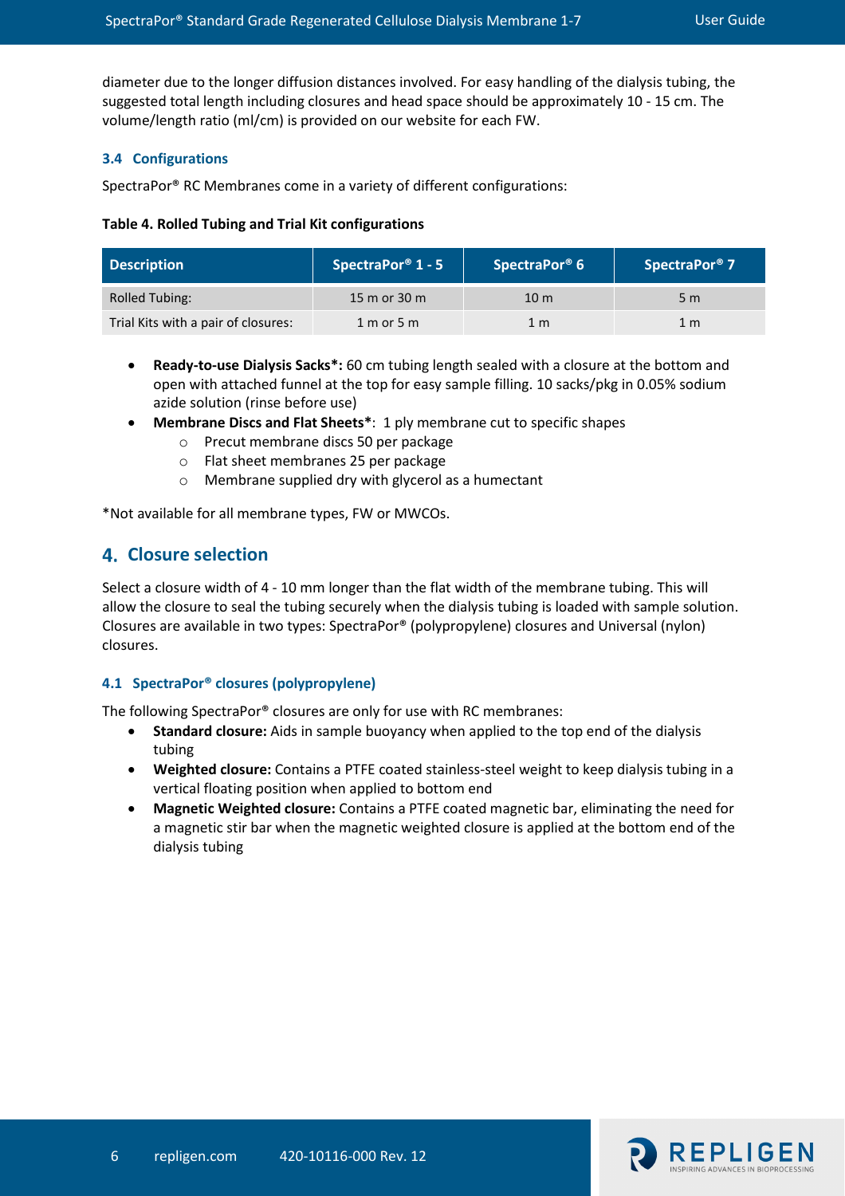diameter due to the longer diffusion distances involved. For easy handling of the dialysis tubing, the suggested total length including closures and head space should be approximately 10 - 15 cm. The volume/length ratio (ml/cm) is provided on our website for each FW.

#### <span id="page-5-0"></span>**3.4 Configurations**

SpectraPor® RC Membranes come in a variety of different configurations:

#### <span id="page-5-2"></span>**Table 4. Rolled Tubing and Trial Kit configurations**

| <b>Description</b>                  | SpectraPor <sup>®</sup> 1 - 5 | SpectraPor <sup>®</sup> 6 | SpectraPor <sup>®</sup> 7 |
|-------------------------------------|-------------------------------|---------------------------|---------------------------|
| <b>Rolled Tubing:</b>               | 15 m or 30 m                  | 10 <sub>m</sub>           | 5 <sub>m</sub>            |
| Trial Kits with a pair of closures: | $1 m$ or $5 m$                | 1 m                       | 1 <sub>m</sub>            |

- **Ready-to-use Dialysis Sacks\*:** 60 cm tubing length sealed with a closure at the bottom and open with attached funnel at the top for easy sample filling. 10 sacks/pkg in 0.05% sodium azide solution (rinse before use)
- **Membrane Discs and Flat Sheets\***: 1 ply membrane cut to specific shapes
	- o Precut membrane discs 50 per package
	- o Flat sheet membranes 25 per package
	- o Membrane supplied dry with glycerol as a humectant

\*Not available for all membrane types, FW or MWCOs.

# **Closure selection**

Select a closure width of 4 - 10 mm longer than the flat width of the membrane tubing. This will allow the closure to seal the tubing securely when the dialysis tubing is loaded with sample solution. Closures are available in two types: SpectraPor® (polypropylene) closures and Universal (nylon) closures.

#### <span id="page-5-1"></span>**4.1 SpectraPor® closures (polypropylene)**

The following SpectraPor® closures are only for use with RC membranes:

- **Standard closure:** Aids in sample buoyancy when applied to the top end of the dialysis tubing
- **Weighted closure:** Contains a PTFE coated stainless-steel weight to keep dialysis tubing in a vertical floating position when applied to bottom end
- **Magnetic Weighted closure:** Contains a PTFE coated magnetic bar, eliminating the need for a magnetic stir bar when the magnetic weighted closure is applied at the bottom end of the dialysis tubing

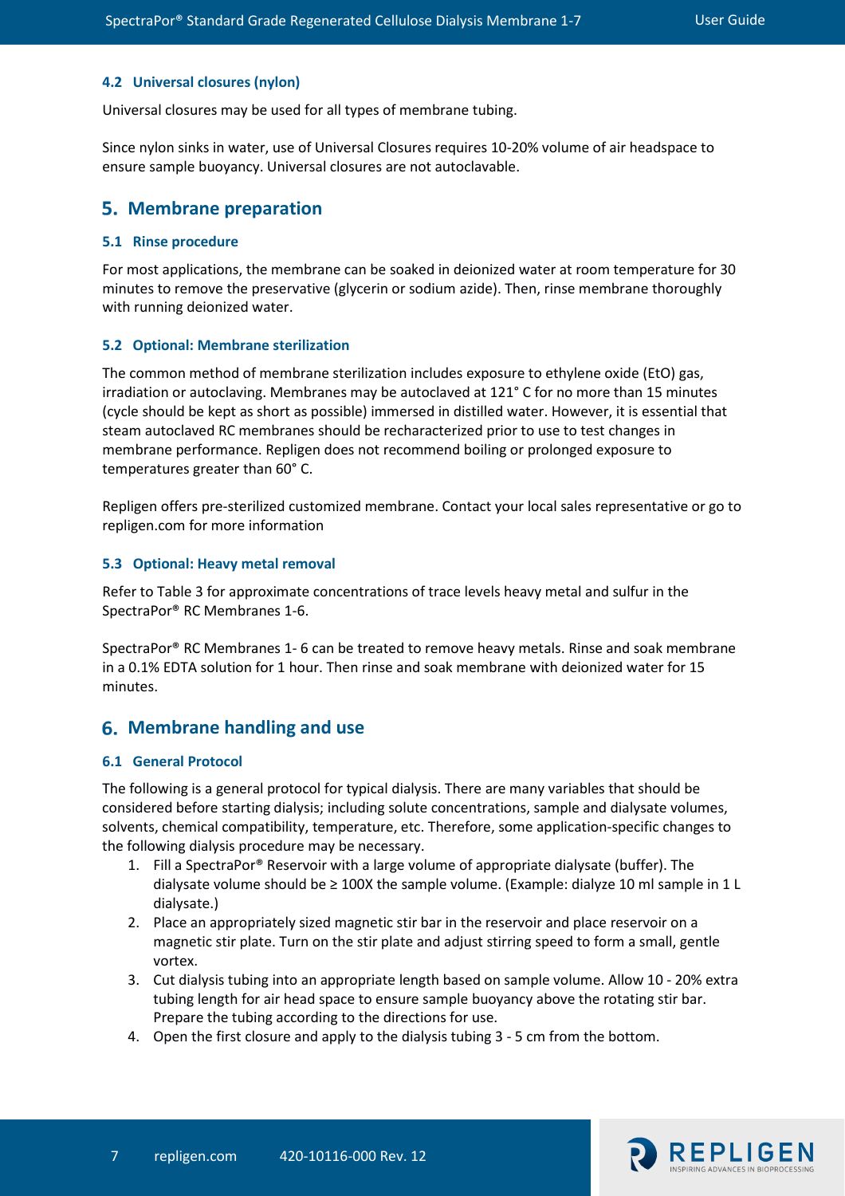#### <span id="page-6-0"></span>**4.2 Universal closures (nylon)**

Universal closures may be used for all types of membrane tubing.

Since nylon sinks in water, use of Universal Closures requires 10-20% volume of air headspace to ensure sample buoyancy. Universal closures are not autoclavable.

## **Membrane preparation**

#### <span id="page-6-1"></span>**5.1 Rinse procedure**

For most applications, the membrane can be soaked in deionized water at room temperature for 30 minutes to remove the preservative (glycerin or sodium azide). Then, rinse membrane thoroughly with running deionized water.

#### <span id="page-6-2"></span>**5.2 Optional: Membrane sterilization**

The common method of membrane sterilization includes exposure to ethylene oxide (EtO) gas, irradiation or autoclaving. Membranes may be autoclaved at 121° C for no more than 15 minutes (cycle should be kept as short as possible) immersed in distilled water. However, it is essential that steam autoclaved RC membranes should be recharacterized prior to use to test changes in membrane performance. Repligen does not recommend boiling or prolonged exposure to temperatures greater than 60° C.

Repligen offers pre-sterilized customized membrane. Contact your local sales representative or go to repligen.com for more information

#### <span id="page-6-3"></span>**5.3 Optional: Heavy metal removal**

Refer to Table 3 for approximate concentrations of trace levels heavy metal and sulfur in the SpectraPor® RC Membranes 1-6.

SpectraPor® RC Membranes 1- 6 can be treated to remove heavy metals. Rinse and soak membrane in a 0.1% EDTA solution for 1 hour. Then rinse and soak membrane with deionized water for 15 minutes.

## **Membrane handling and use**

#### <span id="page-6-4"></span>**6.1 General Protocol**

The following is a general protocol for typical dialysis. There are many variables that should be considered before starting dialysis; including solute concentrations, sample and dialysate volumes, solvents, chemical compatibility, temperature, etc. Therefore, some application-specific changes to the following dialysis procedure may be necessary.

- 1. Fill a SpectraPor® Reservoir with a large volume of appropriate dialysate (buffer). The dialysate volume should be ≥ 100X the sample volume. (Example: dialyze 10 ml sample in 1 L dialysate.)
- 2. Place an appropriately sized magnetic stir bar in the reservoir and place reservoir on a magnetic stir plate. Turn on the stir plate and adjust stirring speed to form a small, gentle vortex.
- 3. Cut dialysis tubing into an appropriate length based on sample volume. Allow 10 20% extra tubing length for air head space to ensure sample buoyancy above the rotating stir bar. Prepare the tubing according to the directions for use.
- 4. Open the first closure and apply to the dialysis tubing 3 5 cm from the bottom.

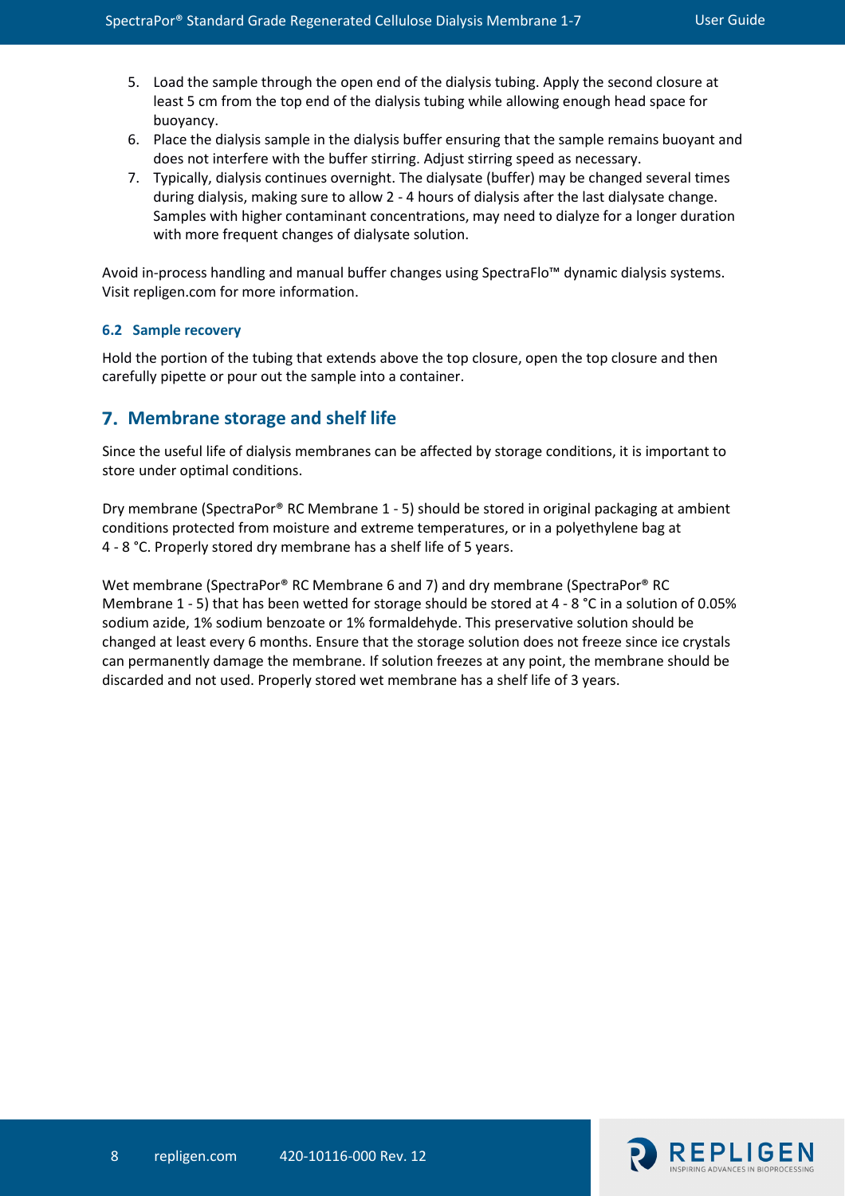- 5. Load the sample through the open end of the dialysis tubing. Apply the second closure at least 5 cm from the top end of the dialysis tubing while allowing enough head space for buoyancy.
- 6. Place the dialysis sample in the dialysis buffer ensuring that the sample remains buoyant and does not interfere with the buffer stirring. Adjust stirring speed as necessary.
- 7. Typically, dialysis continues overnight. The dialysate (buffer) may be changed several times during dialysis, making sure to allow 2 - 4 hours of dialysis after the last dialysate change. Samples with higher contaminant concentrations, may need to dialyze for a longer duration with more frequent changes of dialysate solution.

Avoid in-process handling and manual buffer changes using SpectraFlo™ dynamic dialysis systems. Visit repligen.com for more information.

#### <span id="page-7-0"></span>**6.2 Sample recovery**

Hold the portion of the tubing that extends above the top closure, open the top closure and then carefully pipette or pour out the sample into a container.

# **Membrane storage and shelf life**

Since the useful life of dialysis membranes can be affected by storage conditions, it is important to store under optimal conditions.

Dry membrane (SpectraPor® RC Membrane 1 - 5) should be stored in original packaging at ambient conditions protected from moisture and extreme temperatures, or in a polyethylene bag at 4 - 8 °C. Properly stored dry membrane has a shelf life of 5 years.

Wet membrane (SpectraPor® RC Membrane 6 and 7) and dry membrane (SpectraPor® RC Membrane 1 - 5) that has been wetted for storage should be stored at 4 - 8 °C in a solution of 0.05% sodium azide, 1% sodium benzoate or 1% formaldehyde. This preservative solution should be changed at least every 6 months. Ensure that the storage solution does not freeze since ice crystals can permanently damage the membrane. If solution freezes at any point, the membrane should be discarded and not used. Properly stored wet membrane has a shelf life of 3 years.